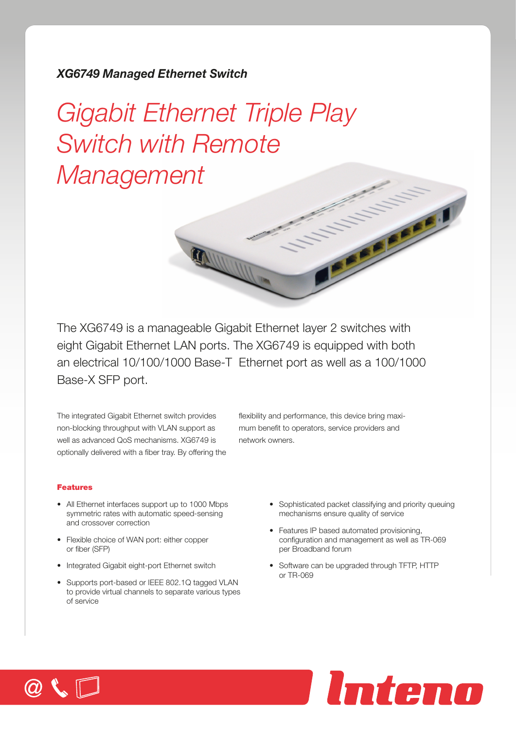## *XG6749 Managed Ethernet Switch*

# *Gigabit Ethernet Triple Play Switch with Remote Management*

The XG6749 is a manageable Gigabit Ethernet layer 2 switches with eight Gigabit Ethernet LAN ports. The XG6749 is equipped with both an electrical 10/100/1000 Base-T Ethernet port as well as a 100/1000 Base-X SFP port.

The integrated Gigabit Ethernet switch provides non-blocking throughput with VLAN support as well as advanced QoS mechanisms. XG6749 is optionally delivered with a fiber tray. By offering the

flexibility and performance, this device bring maximum benefit to operators, service providers and network owners.

### Features

- All Ethernet interfaces support up to 1000 Mbps symmetric rates with automatic speed-sensing and crossover correction
- Flexible choice of WAN port: either copper or fiber (SFP)
- Integrated Gigabit eight-port Ethernet switch
- Supports port-based or IEEE 802.1Q tagged VLAN to provide virtual channels to separate various types of service
- Sophisticated packet classifying and priority queuing mechanisms ensure quality of service
- Features IP based automated provisioning, configuration and management as well as TR-069 per Broadband forum
- Software can be upgraded through TFTP, HTTP or TR-069



**CONSTRUCTION**